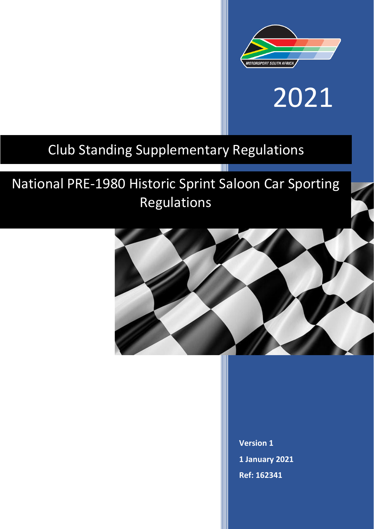

# 2021

### Club Standing Supplementary Regulations

## National PRE-1980 Historic Sprint Saloon Car Sporting Regulations



TIII

**Version 1 1 January 2021 Ref: 162341**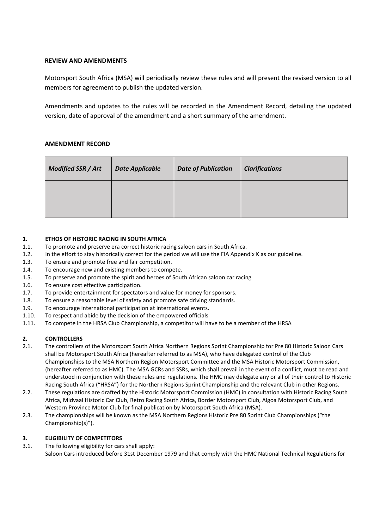#### **REVIEW AND AMENDMENTS**

Motorsport South Africa (MSA) will periodically review these rules and will present the revised version to all members for agreement to publish the updated version.

Amendments and updates to the rules will be recorded in the Amendment Record, detailing the updated version, date of approval of the amendment and a short summary of the amendment.

#### **AMENDMENT RECORD**

| <b>Modified SSR / Art</b> | <b>Date Applicable</b> | <b>Date of Publication</b> | <b>Clarifications</b> |
|---------------------------|------------------------|----------------------------|-----------------------|
|                           |                        |                            |                       |

#### **1. ETHOS OF HISTORIC RACING IN SOUTH AFRICA**

- 1.1. To promote and preserve era correct historic racing saloon cars in South Africa.
- 1.2. In the effort to stay historically correct for the period we will use the FIA Appendix K as our guideline.
- 1.3. To ensure and promote free and fair competition.
- 1.4. To encourage new and existing members to compete.
- 1.5. To preserve and promote the spirit and heroes of South African saloon car racing
- 1.6. To ensure cost effective participation.
- 1.7. To provide entertainment for spectators and value for money for sponsors.
- 1.8. To ensure a reasonable level of safety and promote safe driving standards.
- 1.9. To encourage international participation at international events.
- 1.10. To respect and abide by the decision of the empowered officials
- 1.11. To compete in the HRSA Club Championship, a competitor will have to be a member of the HRSA

#### **2. CONTROLLERS**

- 2.1. The controllers of the Motorsport South Africa Northern Regions Sprint Championship for Pre 80 Historic Saloon Cars shall be Motorsport South Africa (hereafter referred to as MSA), who have delegated control of the Club Championships to the MSA Northern Region Motorsport Committee and the MSA Historic Motorsport Commission, (hereafter referred to as HMC). The MSA GCRs and SSRs, which shall prevail in the event of a conflict, must be read and understood in conjunction with these rules and regulations. The HMC may delegate any or all of their control to Historic Racing South Africa ("HRSA") for the Northern Regions Sprint Championship and the relevant Club in other Regions.
- 2.2. These regulations are drafted by the Historic Motorsport Commission (HMC) in consultation with Historic Racing South Africa, Midvaal Historic Car Club, Retro Racing South Africa, Border Motorsport Club, Algoa Motorsport Club, and Western Province Motor Club for final publication by Motorsport South Africa (MSA).
- 2.3. The championships will be known as the MSA Northern Regions Historic Pre 80 Sprint Club Championships ("the Championship(s)").

#### **3. ELIGIBILITY OF COMPETITORS**

3.1. The following eligibility for cars shall apply: Saloon Cars introduced before 31st December 1979 and that comply with the HMC National Technical Regulations for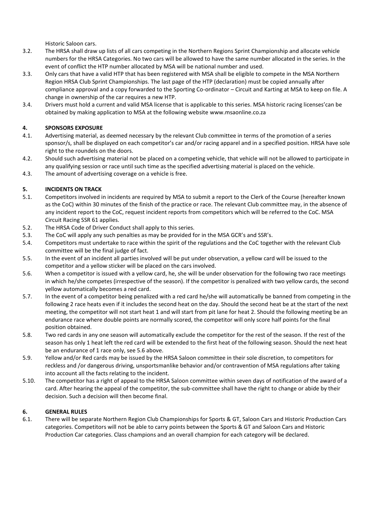Historic Saloon cars.

- 3.2. The HRSA shall draw up lists of all cars competing in the Northern Regions Sprint Championship and allocate vehicle numbers for the HRSA Categories. No two cars will be allowed to have the same number allocated in the series. In the event of conflict the HTP number allocated by MSA will be national number and used.
- 3.3. Only cars that have a valid HTP that has been registered with MSA shall be eligible to compete in the MSA Northern Region HRSA Club Sprint Championships. The last page of the HTP (declaration) must be copied annually after compliance approval and a copy forwarded to the Sporting Co-ordinator – Circuit and Karting at MSA to keep on file. A change in ownership of the car requires a new HTP.
- 3.4. Drivers must hold a current and valid MSA license that is applicable to this series. MSA historic racing licenses'can be obtained by making application to MSA at the following website [www.msaonline.co.za](file://///MSA_NAS/Motorsport%20-%20Nas%20Drive/2019/REGULATIONS/Historic/www.msaonline.co.za)

#### **4. SPONSORS EXPOSURE**

- 4.1. Advertising material, as deemed necessary by the relevant Club committee in terms of the promotion of a series sponsor/s, shall be displayed on each competitor's car and/or racing apparel and in a specified position. HRSA have sole right to the roundels on the doors.
- 4.2. Should such advertising material not be placed on a competing vehicle, that vehicle will not be allowed to participate in any qualifying session or race until such time as the specified advertising material is placed on the vehicle.
- 4.3. The amount of advertising coverage on a vehicle is free.

#### **5. INCIDENTS ON TRACK**

- 5.1. Competitors involved in incidents are required by MSA to submit a report to the Clerk of the Course (hereafter known as the CoC) within 30 minutes of the finish of the practice or race. The relevant Club committee may, in the absence of any incident report to the CoC, request incident reports from competitors which will be referred to the CoC. MSA Circuit Racing SSR 61 applies.
- 5.2. The HRSA Code of Driver Conduct shall apply to this series.
- 5.3. The CoC will apply any such penalties as may be provided for in the MSA GCR's and SSR's.
- 5.4. Competitors must undertake to race within the spirit of the regulations and the CoC together with the relevant Club committee will be the final judge of fact.
- 5.5. In the event of an incident all parties involved will be put under observation, a yellow card will be issued to the competitor and a yellow sticker will be placed on the cars involved.
- 5.6. When a competitor is issued with a yellow card, he, she will be under observation for the following two race meetings in which he/she competes (irrespective of the season). If the competitor is penalized with two yellow cards, the second yellow automatically becomes a red card.
- 5.7. In the event of a competitor being penalized with a red card he/she will automatically be banned from competing in the following 2 race heats even if it includes the second heat on the day. Should the second heat be at the start of the next meeting, the competitor will not start heat 1 and will start from pit lane for heat 2. Should the following meeting be an endurance race where double points are normally scored, the competitor will only score half points for the final position obtained.
- 5.8. Two red cards in any one season will automatically exclude the competitor for the rest of the season. If the rest of the season has only 1 heat left the red card will be extended to the first heat of the following season. Should the next heat be an endurance of 1 race only, see 5.6 above.
- 5.9. Yellow and/or Red cards may be issued by the HRSA Saloon committee in their sole discretion, to competitors for reckless and /or dangerous driving, unsportsmanlike behavior and/or contravention of MSA regulations after taking into account all the facts relating to the incident.
- 5.10. The competitor has a right of appeal to the HRSA Saloon committee within seven days of notification of the award of a card. After hearing the appeal of the competitor, the sub-committee shall have the right to change or abide by their decision. Such a decision will then become final.

#### **6. GENERAL RULES**

6.1. There will be separate Northern Region Club Championships for Sports & GT, Saloon Cars and Historic Production Cars categories. Competitors will not be able to carry points between the Sports & GT and Saloon Cars and Historic Production Car categories. Class champions and an overall champion for each category will be declared.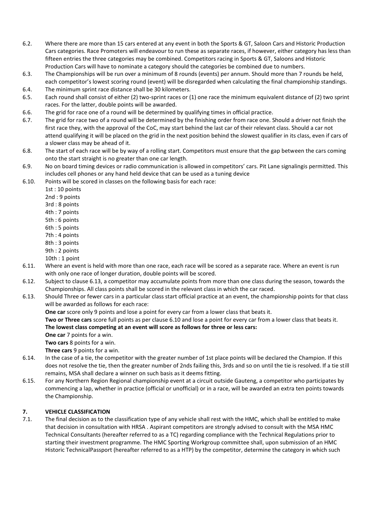- 6.2. Where there are more than 15 cars entered at any event in both the Sports & GT, Saloon Cars and Historic Production Cars categories. Race Promoters will endeavour to run these as separate races, if however, either category has less than fifteen entries the three categories may be combined. Competitors racing in Sports & GT, Saloons and Historic Production Cars will have to nominate a category should the categories be combined due to numbers.
- 6.3. The Championships will be run over a minimum of 8 rounds (events) per annum. Should more than 7 rounds be held, each competitor's lowest scoring round (event) will be disregarded when calculating the final championship standings.
- 6.4. The minimum sprint race distance shall be 30 kilometers.
- 6.5. Each round shall consist of either (2) two-sprint races or (1) one race the minimum equivalent distance of (2) two sprint races. For the latter, double points will be awarded.
- 6.6. The grid for race one of a round will be determined by qualifying times in official practice.
- 6.7. The grid for race two of a round will be determined by the finishing order from race one. Should a driver not finish the first race they, with the approval of the CoC, may start behind the last car of their relevant class. Should a car not attend qualifying it will be placed on the grid in the next position behind the slowest qualifier in its class, even if cars of a slower class may be ahead of it.
- 6.8. The start of each race will be by way of a rolling start. Competitors must ensure that the gap between the cars coming onto the start straight is no greater than one car length.
- 6.9. No on board timing devices or radio communication is allowed in competitors' cars. Pit Lane signalingis permitted. This includes cell phones or any hand held device that can be used as a tuning device
- 6.10. Points will be scored in classes on the following basis for each race:
	- 1st : 10 points
	- 2nd : 9 points
	- 3rd : 8 points
	- 4th : 7 points
	- 5th : 6 points
	- 6th : 5 points
	- 7th : 4 points
	- 8th : 3 points
	- 9th : 2 points
	- 10th : 1 point
- 6.11. Where an event is held with more than one race, each race will be scored as a separate race. Where an event is run with only one race of longer duration, double points will be scored.
- 6.12. Subject to clause 6.13, a competitor may accumulate points from more than one class during the season, towards the Championships. All class points shall be scored in the relevant class in which the car raced.
- 6.13. Should Three or fewer cars in a particular class start official practice at an event, the championship points for that class will be awarded as follows for each race:

**One car** score only 9 points and lose a point for every car from a lower class that beats it.

**Two or Three cars** score full points as per clause 6.10 and lose a point for every car from a lower class that beats it. **The lowest class competing at an event will score as follows for three or less cars:**

**One car** 7 points for a win.

**Two cars** 8 points for a win.

**Three cars** 9 points for a win.

- 6.14. In the case of a tie, the competitor with the greater number of 1st place points will be declared the Champion. If this does not resolve the tie, then the greater number of 2nds failing this, 3rds and so on until the tie is resolved. If a tie still remains, MSA shall declare a winner on such basis as it deems fitting.
- 6.15. For any Northern Region Regional championship event at a circuit outside Gauteng, a competitor who participates by commencing a lap, whether in practice (official or unofficial) or in a race, will be awarded an extra ten points towards the Championship.

#### **7. VEHICLE CLASSIFICATION**

7.1. The final decision as to the classification type of any vehicle shall rest with the HMC, which shall be entitled to make that decision in consultation with HRSA . Aspirant competitors are strongly advised to consult with the MSA HMC Technical Consultants (hereafter referred to as a TC) regarding compliance with the Technical Regulations prior to starting their investment programme. The HMC Sporting Workgroup committee shall, upon submission of an HMC Historic TechnicalPassport (hereafter referred to as a HTP) by the competitor, determine the category in which such